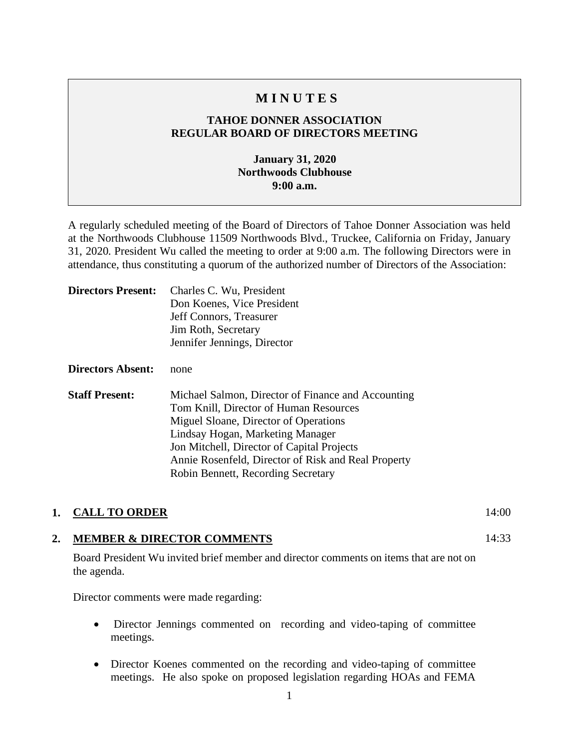# **M I N U T E S**

### **TAHOE DONNER ASSOCIATION REGULAR BOARD OF DIRECTORS MEETING**

### **January 31, 2020 Northwoods Clubhouse 9:00 a.m.**

A regularly scheduled meeting of the Board of Directors of Tahoe Donner Association was held at the Northwoods Clubhouse 11509 Northwoods Blvd., Truckee, California on Friday, January 31, 2020. President Wu called the meeting to order at 9:00 a.m. The following Directors were in attendance, thus constituting a quorum of the authorized number of Directors of the Association:

| <b>Directors Present:</b> | Charles C. Wu, President<br>Don Koenes, Vice President<br>Jeff Connors, Treasurer<br>Jim Roth, Secretary<br>Jennifer Jennings, Director                                                                                                                                                                              |
|---------------------------|----------------------------------------------------------------------------------------------------------------------------------------------------------------------------------------------------------------------------------------------------------------------------------------------------------------------|
| <b>Directors Absent:</b>  | none                                                                                                                                                                                                                                                                                                                 |
| <b>Staff Present:</b>     | Michael Salmon, Director of Finance and Accounting<br>Tom Knill, Director of Human Resources<br>Miguel Sloane, Director of Operations<br>Lindsay Hogan, Marketing Manager<br>Jon Mitchell, Director of Capital Projects<br>Annie Rosenfeld, Director of Risk and Real Property<br>Robin Bennett, Recording Secretary |

#### **1. CALL TO ORDER** 14:00

#### **2. MEMBER & DIRECTOR COMMENTS**

Board President Wu invited brief member and director comments on items that are not on the agenda.

Director comments were made regarding:

- Director Jennings commented on recording and video-taping of committee meetings.
- Director Koenes commented on the recording and video-taping of committee meetings. He also spoke on proposed legislation regarding HOAs and FEMA

1

14:33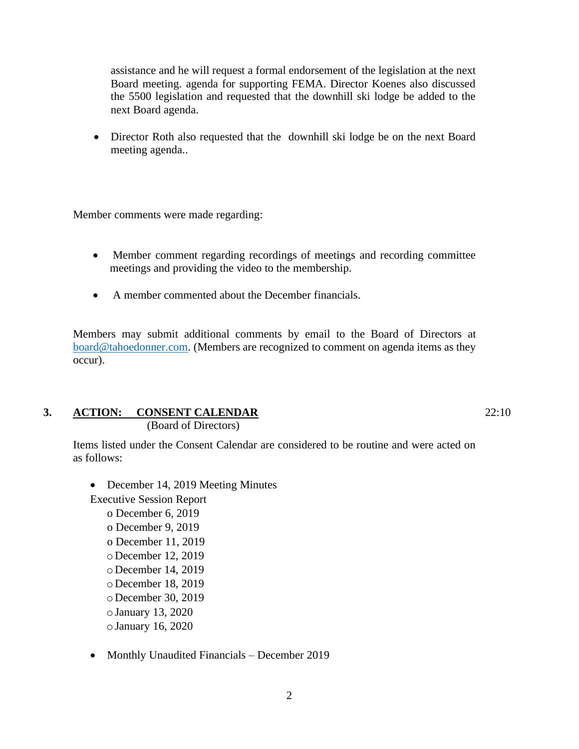assistance and he will request a formal endorsement of the legislation at the next Board meeting. agenda for supporting FEMA. Director Koenes also discussed the 5500 legislation and requested that the downhill ski lodge be added to the next Board agenda.

• Director Roth also requested that the downhill ski lodge be on the next Board meeting agenda..

Member comments were made regarding:

- Member comment regarding recordings of meetings and recording committee meetings and providing the video to the membership.
- A member commented about the December financials.

Members may submit additional comments by email to the Board of Directors at [board@tahoedonner.com.](mailto:board@tahoedonner.com) (Members are recognized to comment on agenda items as they occur).

# **3. ACTION: CONSENT CALENDAR**

(Board of Directors)

Items listed under the Consent Calendar are considered to be routine and were acted on as follows:

• December 14, 2019 Meeting Minutes

Executive Session Report o December 6, 2019 o December 9, 2019 o December 11, 2019 oDecember 12, 2019 oDecember 14, 2019 oDecember 18, 2019 oDecember 30, 2019 oJanuary 13, 2020 oJanuary 16, 2020

• Monthly Unaudited Financials – December 2019

22:10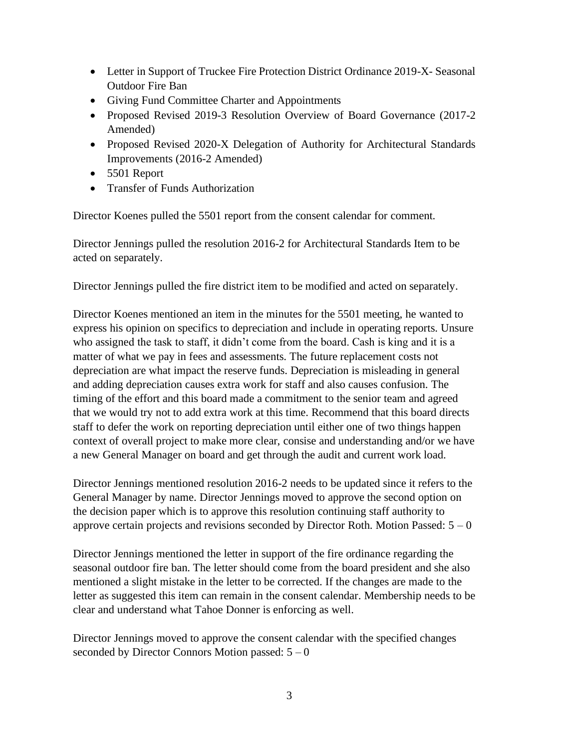- Letter in Support of Truckee Fire Protection District Ordinance 2019-X-Seasonal Outdoor Fire Ban
- Giving Fund Committee Charter and Appointments
- Proposed Revised 2019-3 Resolution Overview of Board Governance (2017-2 Amended)
- Proposed Revised 2020-X Delegation of Authority for Architectural Standards Improvements (2016-2 Amended)
- 5501 Report
- Transfer of Funds Authorization

Director Koenes pulled the 5501 report from the consent calendar for comment.

Director Jennings pulled the resolution 2016-2 for Architectural Standards Item to be acted on separately.

Director Jennings pulled the fire district item to be modified and acted on separately.

Director Koenes mentioned an item in the minutes for the 5501 meeting, he wanted to express his opinion on specifics to depreciation and include in operating reports. Unsure who assigned the task to staff, it didn't come from the board. Cash is king and it is a matter of what we pay in fees and assessments. The future replacement costs not depreciation are what impact the reserve funds. Depreciation is misleading in general and adding depreciation causes extra work for staff and also causes confusion. The timing of the effort and this board made a commitment to the senior team and agreed that we would try not to add extra work at this time. Recommend that this board directs staff to defer the work on reporting depreciation until either one of two things happen context of overall project to make more clear, consise and understanding and/or we have a new General Manager on board and get through the audit and current work load.

Director Jennings mentioned resolution 2016-2 needs to be updated since it refers to the General Manager by name. Director Jennings moved to approve the second option on the decision paper which is to approve this resolution continuing staff authority to approve certain projects and revisions seconded by Director Roth. Motion Passed:  $5 - 0$ 

Director Jennings mentioned the letter in support of the fire ordinance regarding the seasonal outdoor fire ban. The letter should come from the board president and she also mentioned a slight mistake in the letter to be corrected. If the changes are made to the letter as suggested this item can remain in the consent calendar. Membership needs to be clear and understand what Tahoe Donner is enforcing as well.

Director Jennings moved to approve the consent calendar with the specified changes seconded by Director Connors Motion passed:  $5 - 0$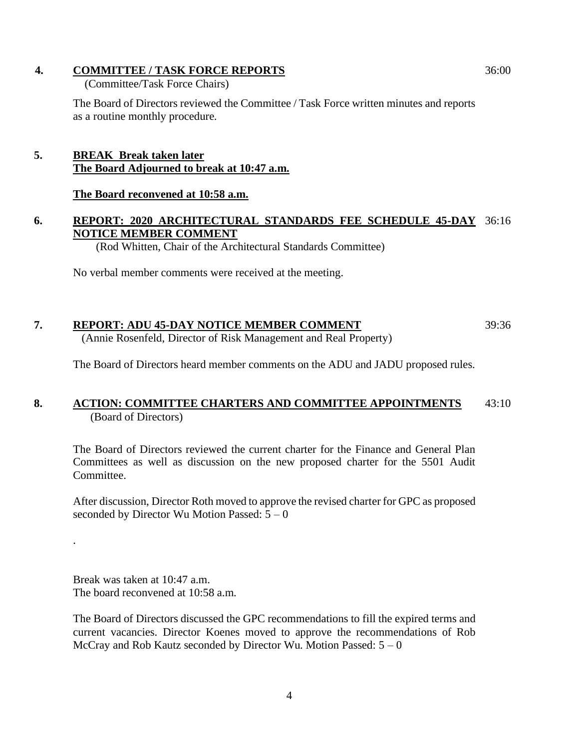### **4. COMMITTEE / TASK FORCE REPORTS**

(Committee/Task Force Chairs)

The Board of Directors reviewed the Committee / Task Force written minutes and reports as a routine monthly procedure.

# **5. BREAK Break taken later The Board Adjourned to break at 10:47 a.m.**

### **The Board reconvened at 10:58 a.m.**

# **6. REPORT: 2020 ARCHITECTURAL STANDARDS FEE SCHEDULE 45-DAY**  36:16 **NOTICE MEMBER COMMENT**

(Rod Whitten, Chair of the Architectural Standards Committee)

No verbal member comments were received at the meeting.

#### **7. REPORT: ADU 45-DAY NOTICE MEMBER COMMENT** (Annie Rosenfeld, Director of Risk Management and Real Property) 39:36

The Board of Directors heard member comments on the ADU and JADU proposed rules.

#### **8. ACTION: COMMITTEE CHARTERS AND COMMITTEE APPOINTMENTS** (Board of Directors) 43:10

The Board of Directors reviewed the current charter for the Finance and General Plan Committees as well as discussion on the new proposed charter for the 5501 Audit Committee.

After discussion, Director Roth moved to approve the revised charter for GPC as proposed seconded by Director Wu Motion Passed:  $5 - 0$ 

Break was taken at 10:47 a.m. The board reconvened at 10:58 a.m.

.

The Board of Directors discussed the GPC recommendations to fill the expired terms and current vacancies. Director Koenes moved to approve the recommendations of Rob McCray and Rob Kautz seconded by Director Wu. Motion Passed:  $5 - 0$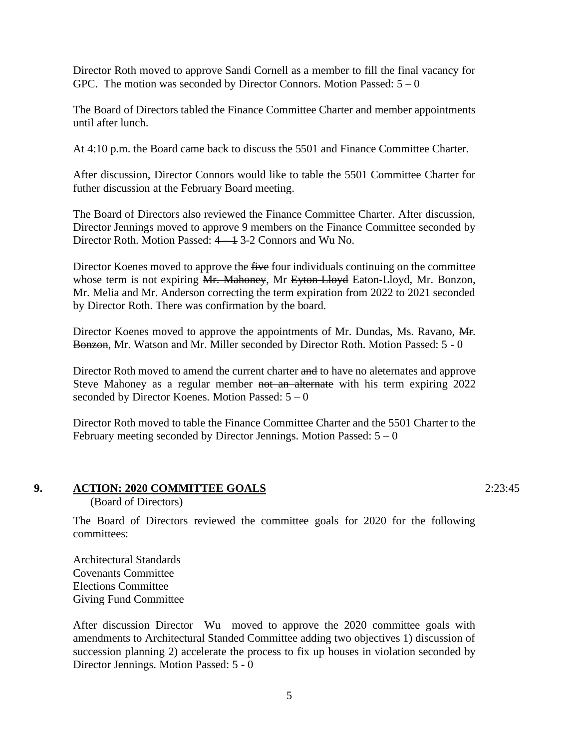Director Roth moved to approve Sandi Cornell as a member to fill the final vacancy for GPC. The motion was seconded by Director Connors. Motion Passed:  $5 - 0$ 

The Board of Directors tabled the Finance Committee Charter and member appointments until after lunch.

At 4:10 p.m. the Board came back to discuss the 5501 and Finance Committee Charter.

After discussion, Director Connors would like to table the 5501 Committee Charter for futher discussion at the February Board meeting.

The Board of Directors also reviewed the Finance Committee Charter. After discussion, Director Jennings moved to approve 9 members on the Finance Committee seconded by Director Roth. Motion Passed:  $4 \rightarrow 3-2$  Connors and Wu No.

Director Koenes moved to approve the five four individuals continuing on the committee whose term is not expiring Mr. Mahoney, Mr Eyton-Lloyd Eaton-Lloyd, Mr. Bonzon, Mr. Melia and Mr. Anderson correcting the term expiration from 2022 to 2021 seconded by Director Roth. There was confirmation by the board.

Director Koenes moved to approve the appointments of Mr. Dundas, Ms. Ravano, A.F. Bonzon, Mr. Watson and Mr. Miller seconded by Director Roth. Motion Passed: 5 - 0

Director Roth moved to amend the current charter and to have no aleternates and approve Steve Mahoney as a regular member not an alternate with his term expiring 2022 seconded by Director Koenes. Motion Passed:  $5 - 0$ 

Director Roth moved to table the Finance Committee Charter and the 5501 Charter to the February meeting seconded by Director Jennings. Motion Passed:  $5 - 0$ 

#### **9. ACTION: 2020 COMMITTEE GOALS**

(Board of Directors)

The Board of Directors reviewed the committee goals for 2020 for the following committees:

Architectural Standards Covenants Committee Elections Committee Giving Fund Committee

After discussion Director Wu moved to approve the 2020 committee goals with amendments to Architectural Standed Committee adding two objectives 1) discussion of succession planning 2) accelerate the process to fix up houses in violation seconded by Director Jennings. Motion Passed: 5 - 0

2:23:45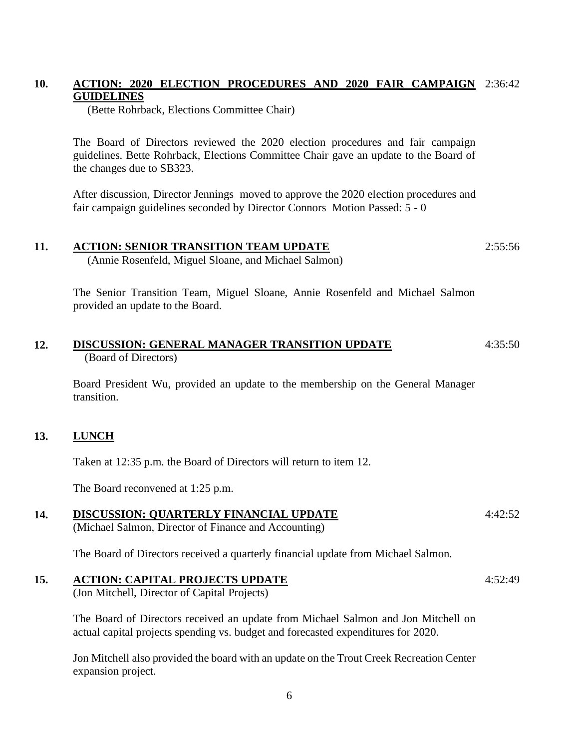#### **10. ACTION: 2020 ELECTION PROCEDURES AND 2020 FAIR CAMPAIGN**  2:36:42 **GUIDELINES**

(Bette Rohrback, Elections Committee Chair)

The Board of Directors reviewed the 2020 election procedures and fair campaign guidelines. Bette Rohrback, Elections Committee Chair gave an update to the Board of the changes due to SB323.

After discussion, Director Jennings moved to approve the 2020 election procedures and fair campaign guidelines seconded by Director Connors Motion Passed: 5 - 0

#### **11. ACTION: SENIOR TRANSITION TEAM UPDATE** 2:55:56

(Annie Rosenfeld, Miguel Sloane, and Michael Salmon)

The Senior Transition Team, Miguel Sloane, Annie Rosenfeld and Michael Salmon provided an update to the Board.

#### **12. DISCUSSION: GENERAL MANAGER TRANSITION UPDATE** (Board of Directors) 4:35:50

Board President Wu, provided an update to the membership on the General Manager transition.

#### **13. LUNCH**

Taken at 12:35 p.m. the Board of Directors will return to item 12.

The Board reconvened at 1:25 p.m.

#### **14. DISCUSSION: QUARTERLY FINANCIAL UPDATE** 4:42:52

(Michael Salmon, Director of Finance and Accounting)

The Board of Directors received a quarterly financial update from Michael Salmon.

#### **15. ACTION: CAPITAL PROJECTS UPDATE**

(Jon Mitchell, Director of Capital Projects)

The Board of Directors received an update from Michael Salmon and Jon Mitchell on actual capital projects spending vs. budget and forecasted expenditures for 2020.

Jon Mitchell also provided the board with an update on the Trout Creek Recreation Center expansion project.

4:52:49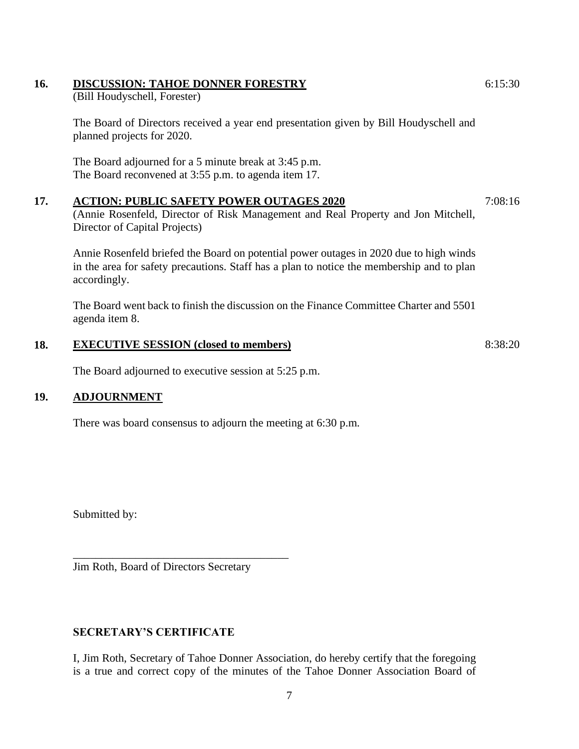# **16. DISCUSSION: TAHOE DONNER FORESTRY**

(Bill Houdyschell, Forester)

The Board of Directors received a year end presentation given by Bill Houdyschell and planned projects for 2020.

The Board adjourned for a 5 minute break at 3:45 p.m. The Board reconvened at 3:55 p.m. to agenda item 17.

# **17. ACTION: PUBLIC SAFETY POWER OUTAGES 2020**

(Annie Rosenfeld, Director of Risk Management and Real Property and Jon Mitchell, Director of Capital Projects)

Annie Rosenfeld briefed the Board on potential power outages in 2020 due to high winds in the area for safety precautions. Staff has a plan to notice the membership and to plan accordingly.

The Board went back to finish the discussion on the Finance Committee Charter and 5501 agenda item 8.

#### **18. EXECUTIVE SESSION (closed to members)**

The Board adjourned to executive session at 5:25 p.m.

### **19. ADJOURNMENT**

There was board consensus to adjourn the meeting at 6:30 p.m.

Submitted by:

Jim Roth, Board of Directors Secretary

\_\_\_\_\_\_\_\_\_\_\_\_\_\_\_\_\_\_\_\_\_\_\_\_\_\_\_\_\_\_\_\_\_\_\_\_\_\_

# **SECRETARY'S CERTIFICATE**

I, Jim Roth, Secretary of Tahoe Donner Association, do hereby certify that the foregoing is a true and correct copy of the minutes of the Tahoe Donner Association Board of

6:15:30

8:38:20

7:08:16